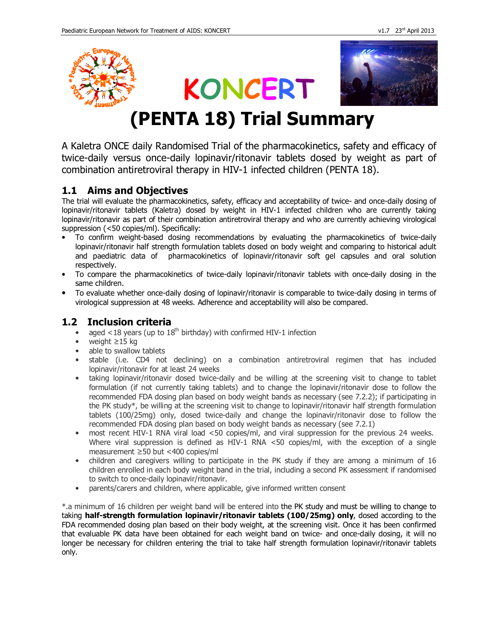

# **KONCERT**



# **(PENTA 18) Trial Summary**

A Kaletra ONCE daily Randomised Trial of the pharmacokinetics, safety and efficacy of twice-daily versus once-daily lopinavir/ritonavir tablets dosed by weight as part of combination antiretroviral therapy in HIV-1 infected children (PENTA 18).

# **1.1 Aims and Objectives**

The trial will evaluate the pharmacokinetics, safety, efficacy and acceptability of twice- and once-daily dosing of lopinavir/ritonavir tablets (Kaletra) dosed by weight in HIV-1 infected children who are currently taking lopinavir/ritonavir as part of their combination antiretroviral therapy and who are currently achieving virological suppression (<50 copies/ml). Specifically:

- To confirm weight-based dosing recommendations by evaluating the pharmacokinetics of twice-daily lopinavir/ritonavir half strength formulation tablets dosed on body weight and comparing to historical adult and paediatric data of pharmacokinetics of lopinavir/ritonavir soft gel capsules and oral solution respectively.
- To compare the pharmacokinetics of twice-daily lopinavir/ritonavir tablets with once-daily dosing in the same children.
- To evaluate whether once-daily dosing of lopinavir/ritonavir is comparable to twice-daily dosing in terms of virological suppression at 48 weeks. Adherence and acceptability will also be compared.

## **1.2 Inclusion criteria**

- aged <18 years (up to  $18<sup>th</sup>$  birthday) with confirmed HIV-1 infection
- weight ≥15 kg
- able to swallow tablets
- stable (i.e. CD4 not declining) on a combination antiretroviral regimen that has included lopinavir/ritonavir for at least 24 weeks
- taking lopinavir/ritonavir dosed twice-daily and be willing at the screening visit to change to tablet formulation (if not currently taking tablets) and to change the lopinavir/ritonavir dose to follow the recommended FDA dosing plan based on body weight bands as necessary (see 7.2.2); if participating in the PK study\*, be willing at the screening visit to change to lopinavir/ritonavir half strength formulation tablets (100/25mg) only, dosed twice-daily and change the lopinavir/ritonavir dose to follow the recommended FDA dosing plan based on body weight bands as necessary (see 7.2.1)
- most recent HIV-1 RNA viral load <50 copies/ml, and viral suppression for the previous 24 weeks. Where viral suppression is defined as HIV-1 RNA <50 copies/ml, with the exception of a single measurement ≥50 but <400 copies/ml
- children and caregivers willing to participate in the PK study if they are among a minimum of 16 children enrolled in each body weight band in the trial, including a second PK assessment if randomised to switch to once-daily lopinavir/ritonavir.
- parents/carers and children, where applicable, give informed written consent

\*.a minimum of 16 children per weight band will be entered into the PK study and must be willing to change to taking **half-strength formulation lopinavir/ritonavir tablets (100/25mg) only**, dosed according to the FDA recommended dosing plan based on their body weight, at the screening visit. Once it has been confirmed that evaluable PK data have been obtained for each weight band on twice- and once-daily dosing, it will no longer be necessary for children entering the trial to take half strength formulation lopinavir/ritonavir tablets only.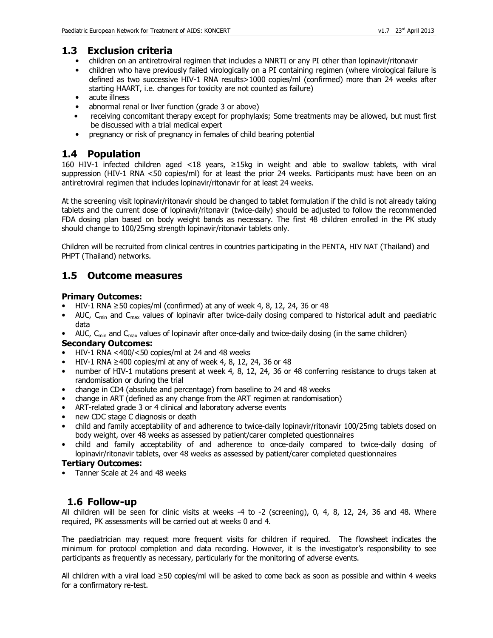#### **1.3 Exclusion criteria**

- children on an antiretroviral regimen that includes a NNRTI or any PI other than lopinavir/ritonavir
- children who have previously failed virologically on a PI containing regimen (where virological failure is defined as two successive HIV-1 RNA results>1000 copies/ml (confirmed) more than 24 weeks after starting HAART, i.e. changes for toxicity are not counted as failure)
- acute illness
- abnormal renal or liver function (grade 3 or above)
- receiving concomitant therapy except for prophylaxis; Some treatments may be allowed, but must first be discussed with a trial medical expert
- pregnancy or risk of pregnancy in females of child bearing potential

# **1.4 Population**

160 HIV-1 infected children aged <18 years, ≥15kg in weight and able to swallow tablets, with viral suppression (HIV-1 RNA <50 copies/ml) for at least the prior 24 weeks. Participants must have been on an antiretroviral regimen that includes lopinavir/ritonavir for at least 24 weeks.

At the screening visit lopinavir/ritonavir should be changed to tablet formulation if the child is not already taking tablets and the current dose of lopinavir/ritonavir (twice-daily) should be adjusted to follow the recommended FDA dosing plan based on body weight bands as necessary. The first 48 children enrolled in the PK study should change to 100/25mg strength lopinavir/ritonavir tablets only.

Children will be recruited from clinical centres in countries participating in the PENTA, HIV NAT (Thailand) and PHPT (Thailand) networks.

# **1.5 Outcome measures**

#### **Primary Outcomes:**

- HIV-1 RNA  $\geq$  50 copies/ml (confirmed) at any of week 4, 8, 12, 24, 36 or 48
- AUC,  $C_{min}$  and  $C_{max}$  values of lopinavir after twice-daily dosing compared to historical adult and paediatric data
- AUC,  $C_{min}$  and  $C_{max}$  values of lopinavir after once-daily and twice-daily dosing (in the same children)

#### **Secondary Outcomes:**

- HIV-1 RNA <400/<50 copies/ml at 24 and 48 weeks
- HIV-1 RNA  $\geq$ 400 copies/ml at any of week 4, 8, 12, 24, 36 or 48
- number of HIV-1 mutations present at week 4, 8, 12, 24, 36 or 48 conferring resistance to drugs taken at randomisation or during the trial
- change in CD4 (absolute and percentage) from baseline to 24 and 48 weeks
- change in ART (defined as any change from the ART regimen at randomisation)
- ART-related grade 3 or 4 clinical and laboratory adverse events
- new CDC stage C diagnosis or death
- child and family acceptability of and adherence to twice-daily lopinavir/ritonavir 100/25mg tablets dosed on body weight, over 48 weeks as assessed by patient/carer completed questionnaires
- child and family acceptability of and adherence to once-daily compared to twice-daily dosing of lopinavir/ritonavir tablets, over 48 weeks as assessed by patient/carer completed questionnaires

#### **Tertiary Outcomes:**

• Tanner Scale at 24 and 48 weeks

### **1.6 Follow-up**

All children will be seen for clinic visits at weeks -4 to -2 (screening), 0, 4, 8, 12, 24, 36 and 48. Where required, PK assessments will be carried out at weeks 0 and 4.

The paediatrician may request more frequent visits for children if required. The flowsheet indicates the minimum for protocol completion and data recording. However, it is the investigator's responsibility to see participants as frequently as necessary, particularly for the monitoring of adverse events.

All children with a viral load ≥50 copies/ml will be asked to come back as soon as possible and within 4 weeks for a confirmatory re-test.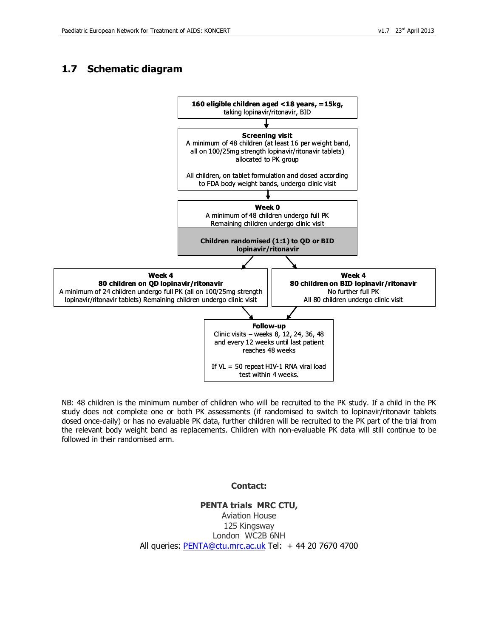# **1.7 Schematic diagram**



NB: 48 children is the minimum number of children who will be recruited to the PK study. If a child in the PK study does not complete one or both PK assessments (if randomised to switch to lopinavir/ritonavir tablets dosed once-daily) or has no evaluable PK data, further children will be recruited to the PK part of the trial from the relevant body weight band as replacements. Children with non-evaluable PK data will still continue to be followed in their randomised arm.

#### **Contact:**

**PENTA trials MRC CTU,**  Aviation House 125 Kingsway London WC2B 6NH All queries: PENTA@ctu.mrc.ac.uk Tel: +44 20 7670 4700